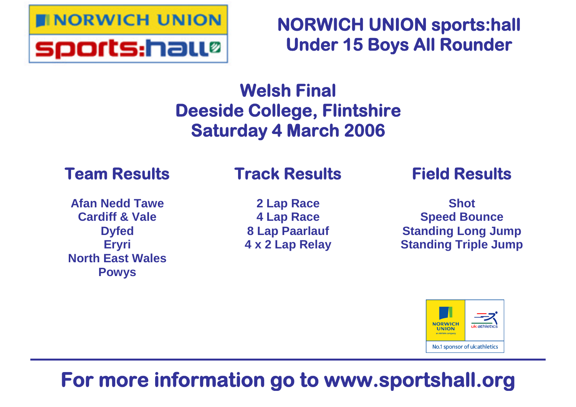

**NORWICH UNION sports:hall Under 15 Boys All Rounder**

# **Welsh Final Deeside College, Flintshire Saturday 4 March 2006**

# **Team Results**

### **Afan Nedd Tawe Cardiff & Vale Dyfed Eryri North East Wales Powys**

# **Track Results**

**2 Lap Race 4 Lap Race 8 Lap Paarlauf 4 x 2 Lap Relay**

# **Field Results**

**Shot Speed Bounce Standing Long Jump Standing Triple Jump**



# **For more information go to www.sportshall.org**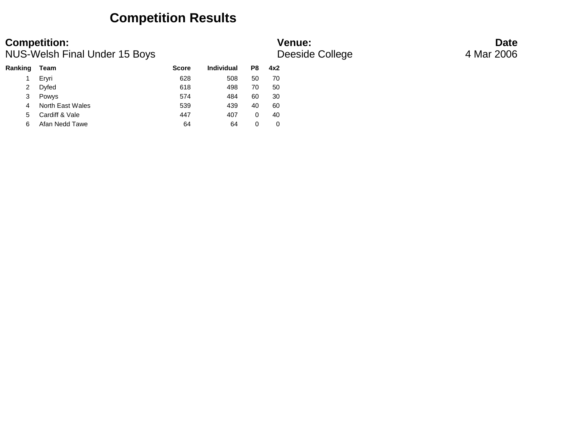### **Competition Results**

**Competition: Date**<br> **Date**<br> **Date**<br> **Deeside College** 4 Mar 2006<br> **Deeside College** 4 Mar 2006 NUS-Welsh Final Under 15 Boys

### **Ranking Team Score Individual P8 4x2** 1 Eryri 628 508 50 70 2 Dyfed 618 498 70 50 3 Powys 574 484 60 30 4 North East Wales 539 439 40 60 5 Cardiff & Vale **447** 407 0 40 6 Afan Nedd Tawe 64 64 0 0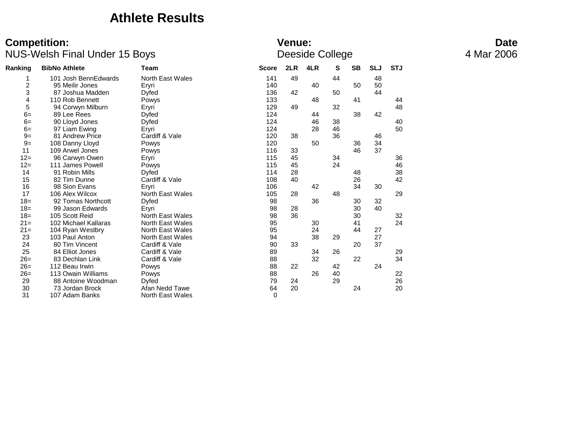### **Athlete Results**

|                | <b>TYOU WOULD THE UNION TO DUYS</b> |                         | Doonad Oollogo |     |     |    |           |            |            |  |  |
|----------------|-------------------------------------|-------------------------|----------------|-----|-----|----|-----------|------------|------------|--|--|
| Ranking        | <b>BibNo Athlete</b>                | Team                    | <b>Score</b>   | 2LR | 4LR | s  | <b>SB</b> | <b>SLJ</b> | <b>STJ</b> |  |  |
|                | 101 Josh BennEdwards                | <b>North East Wales</b> | 141            | 49  |     | 44 |           | 48         |            |  |  |
| $\overline{c}$ | 95 Meilir Jones                     | Eryri                   | 140            |     | 40  |    | 50        | 50         |            |  |  |
| 3              | 87 Joshua Madden                    | Dyfed                   | 136            | 42  |     | 50 |           | 44         |            |  |  |
| 4              | 110 Rob Bennett                     | Powys                   | 133            |     | 48  |    | 41        |            | 44         |  |  |
| 5              | 94 Corwyn Milburn                   | Eryri                   | 129            | 49  |     | 32 |           |            | 48         |  |  |
| $6=$           | 89 Lee Rees                         | Dyfed                   | 124            |     | 44  |    | 38        | 42         |            |  |  |
| $6=$           | 90 Lloyd Jones                      | <b>Dyfed</b>            | 124            |     | 46  | 38 |           |            | 40         |  |  |
| $6=$           | 97 Liam Ewing                       | Eryri                   | 124            |     | 28  | 46 |           |            | 50         |  |  |
| $9=$           | 81 Andrew Price                     | Cardiff & Vale          | 120            | 38  |     | 36 |           | 46         |            |  |  |
| $9=$           | 108 Danny Lloyd                     | Powys                   | 120            |     | 50  |    | 36        | 34         |            |  |  |
| 11             | 109 Arwel Jones                     | Powys                   | 116            | 33  |     |    | 46        | 37         |            |  |  |
| $12=$          | 96 Carwyn Owen                      | Eryri                   | 115            | 45  |     | 34 |           |            | 36         |  |  |
| $12=$          | 111 James Powell                    | Powys                   | 115            | 45  |     | 24 |           |            | 46         |  |  |
| 14             | 91 Robin Mills                      | Dyfed                   | 114            | 28  |     |    | 48        |            | 38         |  |  |
| 15             | 82 Tim Dunne                        | Cardiff & Vale          | 108            | 40  |     |    | 26        |            | 42         |  |  |
| 16             | 98 Sion Evans                       | Eryri                   | 106            |     | 42  |    | 34        | 30         |            |  |  |
| 17             | 106 Alex Wilcox                     | <b>North East Wales</b> | 105            | 28  |     | 48 |           |            | 29         |  |  |
| $18 =$         | 92 Tomas Northcott                  | Dyfed                   | 98             |     | 36  |    | 30        | 32         |            |  |  |
| $18 =$         | 99 Jason Edwards                    | Eryri                   | 98             | 28  |     |    | 30        | 40         |            |  |  |
| $18=$          | 105 Scott Reid                      | North East Wales        | 98             | 36  |     |    | 30        |            | 32         |  |  |
| $21 =$         | 102 Michael Kallaras                | <b>North East Wales</b> | 95             |     | 30  |    | 41        |            | 24         |  |  |
| $21 =$         | 104 Ryan Westbry                    | North East Wales        | 95             |     | 24  |    | 44        | 27         |            |  |  |
| 23             | 103 Paul Anton                      | North East Wales        | 94             |     | 38  | 29 |           | 27         |            |  |  |
| 24             | 80 Tim Vincent                      | Cardiff & Vale          | 90             | 33  |     |    | 20        | 37         |            |  |  |
| 25             | 84 Elliot Jones                     | Cardiff & Vale          | 89             |     | 34  | 26 |           |            | 29         |  |  |
| $26=$          | 83 Dechlan Link                     | Cardiff & Vale          | 88             |     | 32  |    | 22        |            | 34         |  |  |
| $26=$          | 112 Beau Irwin                      | Powys                   | 88             | 22  |     | 42 |           | 24         |            |  |  |
| $26=$          | 113 Owain Williams                  | Powys                   | 88             |     | 26  | 40 |           |            | 22         |  |  |
| 29             | 88 Antoine Woodman                  | Dyfed                   | 79             | 24  |     | 29 |           |            | 26         |  |  |
| 30             | 73 Jordan Brock                     | Afan Nedd Tawe          | 64             | 20  |     |    | 24        |            | 20         |  |  |
| 31             | 107 Adam Banks                      | <b>North East Wales</b> | 0              |     |     |    |           |            |            |  |  |
|                |                                     |                         |                |     |     |    |           |            |            |  |  |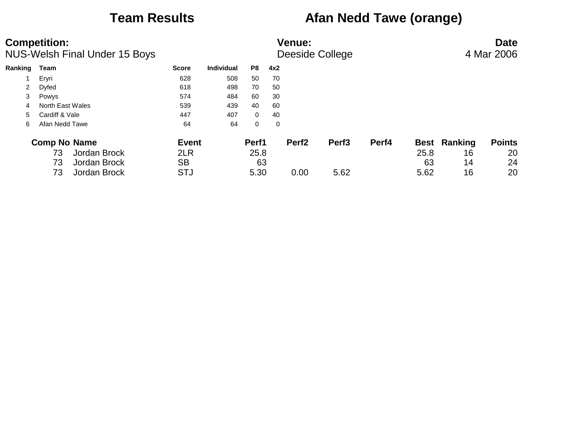## **Team Results Afan Nedd Tawe (orange)**

|         | <b>Competition:</b><br><b>NUS-Welsh Final Under 15 Boys</b> | <b>Venue:</b><br>Deeside College |                   |                |     |                   |                   |       |             |         | <b>Date</b><br>4 Mar 2006 |
|---------|-------------------------------------------------------------|----------------------------------|-------------------|----------------|-----|-------------------|-------------------|-------|-------------|---------|---------------------------|
| Ranking | Team                                                        | <b>Score</b>                     | <b>Individual</b> | P8             | 4x2 |                   |                   |       |             |         |                           |
|         | Eryri                                                       | 628                              | 508               | 50             | 70  |                   |                   |       |             |         |                           |
| 2       | Dyfed                                                       | 618                              | 498               | 70             | 50  |                   |                   |       |             |         |                           |
| 3       | Powys                                                       | 574                              | 484               | 60             | 30  |                   |                   |       |             |         |                           |
| 4       | North East Wales                                            | 539                              | 439               | 40             | 60  |                   |                   |       |             |         |                           |
| 5.      | Cardiff & Vale                                              | 447                              | 407               | $\overline{0}$ | 40  |                   |                   |       |             |         |                           |
| 6       | Afan Nedd Tawe                                              | 64                               | 64                | $\mathbf 0$    | 0   |                   |                   |       |             |         |                           |
|         | <b>Comp No Name</b>                                         | <b>Event</b>                     |                   | Perf1          |     | Perf <sub>2</sub> | Perf <sub>3</sub> | Perf4 | <b>Best</b> | Ranking | <b>Points</b>             |
|         | Jordan Brock<br>73                                          | 2LR                              |                   | 25.8           |     |                   |                   |       | 25.8        | 16      | 20                        |
|         | Jordan Brock<br>73                                          | <b>SB</b>                        |                   | 63             |     |                   |                   |       | 63          | 14      | 24                        |
|         | Jordan Brock<br>73                                          | <b>STJ</b>                       |                   | 5.30           |     | 0.00              | 5.62              |       | 5.62        | 16      | 20                        |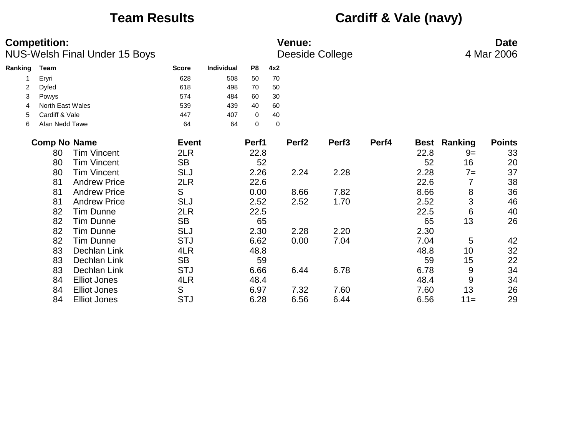# **Team Results Cardiff & Vale (navy)**

|         | <b>Competition:</b> | <b>NUS-Welsh Final Under 15 Boys</b> |              | <b>Venue:</b><br>Deeside College |             |             |                   |                   |       |             | <b>Date</b><br>4 Mar 2006 |               |  |
|---------|---------------------|--------------------------------------|--------------|----------------------------------|-------------|-------------|-------------------|-------------------|-------|-------------|---------------------------|---------------|--|
| Ranking | <b>Team</b>         |                                      | <b>Score</b> | Individual                       | P8          | 4x2         |                   |                   |       |             |                           |               |  |
|         | Eryri               |                                      | 628          | 508                              | 50          | 70          |                   |                   |       |             |                           |               |  |
| 2       | <b>Dyfed</b>        |                                      | 618          | 498                              | 70          | 50          |                   |                   |       |             |                           |               |  |
| 3       | Powys               |                                      | 574          | 484                              | 60          | 30          |                   |                   |       |             |                           |               |  |
| 4       | North East Wales    |                                      | 539          | 439                              | 40          | 60          |                   |                   |       |             |                           |               |  |
| 5       | Cardiff & Vale      |                                      | 447          | 407                              | $\mathbf 0$ | 40          |                   |                   |       |             |                           |               |  |
| 6       | Afan Nedd Tawe      |                                      | 64           | 64                               | 0           | $\mathbf 0$ |                   |                   |       |             |                           |               |  |
|         | <b>Comp No Name</b> |                                      | <b>Event</b> |                                  | Perf1       |             | Perf <sub>2</sub> | Perf <sub>3</sub> | Perf4 | <b>Best</b> | Ranking                   | <b>Points</b> |  |
|         | 80                  | <b>Tim Vincent</b>                   | 2LR          |                                  | 22.8        |             |                   |                   |       | 22.8        | $9=$                      | 33            |  |
|         | 80                  | <b>Tim Vincent</b>                   | <b>SB</b>    |                                  | 52          |             |                   |                   |       | 52          | 16                        | 20            |  |
|         | 80                  | <b>Tim Vincent</b>                   | <b>SLJ</b>   |                                  | 2.26        |             | 2.24              | 2.28              |       | 2.28        | $7 =$                     | 37            |  |
|         | 81                  | <b>Andrew Price</b>                  | 2LR          |                                  | 22.6        |             |                   |                   |       | 22.6        | 7                         | 38            |  |
|         | 81                  | <b>Andrew Price</b>                  | S            |                                  | 0.00        |             | 8.66              | 7.82              |       | 8.66        | 8                         | 36            |  |
|         | 81                  | <b>Andrew Price</b>                  | <b>SLJ</b>   |                                  | 2.52        |             | 2.52              | 1.70              |       | 2.52        | 3                         | 46            |  |
|         | 82                  | <b>Tim Dunne</b>                     | 2LR          |                                  | 22.5        |             |                   |                   |       | 22.5        | 6                         | 40            |  |
|         | 82                  | <b>Tim Dunne</b>                     | <b>SB</b>    |                                  | 65          |             |                   |                   |       | 65          | 13                        | 26            |  |
|         | 82                  | <b>Tim Dunne</b>                     | <b>SLJ</b>   |                                  | 2.30        |             | 2.28              | 2.20              |       | 2.30        |                           |               |  |
|         | 82                  | <b>Tim Dunne</b>                     | <b>STJ</b>   |                                  | 6.62        |             | 0.00              | 7.04              |       | 7.04        | 5                         | 42            |  |
|         | 83                  | Dechlan Link                         | 4LR          |                                  | 48.8        |             |                   |                   |       | 48.8        | 10                        | 32            |  |
|         | 83                  | Dechlan Link                         | <b>SB</b>    |                                  | 59          |             |                   |                   |       | 59          | 15                        | 22            |  |
|         | 83                  | Dechlan Link                         | <b>STJ</b>   |                                  | 6.66        |             | 6.44              | 6.78              |       | 6.78        | 9                         | 34            |  |
|         | 84                  | <b>Elliot Jones</b>                  | 4LR          |                                  | 48.4        |             |                   |                   |       | 48.4        | 9                         | 34            |  |
|         | 84                  | <b>Elliot Jones</b>                  | S            |                                  | 6.97        |             | 7.32              | 7.60              |       | 7.60        | 13                        | 26            |  |
|         | 84                  | <b>Elliot Jones</b>                  | <b>STJ</b>   |                                  | 6.28        |             | 6.56              | 6.44              |       | 6.56        | $11 =$                    | 29            |  |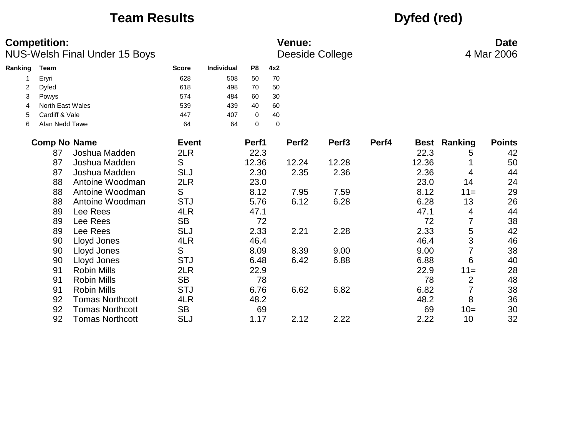## **Team Results Dyfed (red)**

|         | <b>Competition:</b> | <b>NUS-Welsh Final Under 15 Boys</b> |              |                   |                |             | <b>Venue:</b>     | Deeside College   |       |             |                | <b>Date</b><br>4 Mar 2006 |
|---------|---------------------|--------------------------------------|--------------|-------------------|----------------|-------------|-------------------|-------------------|-------|-------------|----------------|---------------------------|
| Ranking | Team                |                                      | <b>Score</b> | <b>Individual</b> | P <sub>8</sub> | 4x2         |                   |                   |       |             |                |                           |
|         | Eryri               |                                      | 628          | 508               | 50             | 70          |                   |                   |       |             |                |                           |
| 2       | Dyfed               |                                      | 618          | 498               | 70             | 50          |                   |                   |       |             |                |                           |
| 3       | Powys               |                                      | 574          | 484               | 60             | 30          |                   |                   |       |             |                |                           |
| 4       | North East Wales    |                                      | 539          | 439               | 40             | 60          |                   |                   |       |             |                |                           |
| 5       | Cardiff & Vale      |                                      | 447          | 407               | $\mathbf 0$    | 40          |                   |                   |       |             |                |                           |
| 6       | Afan Nedd Tawe      |                                      | 64           | 64                | $\mathbf 0$    | $\mathbf 0$ |                   |                   |       |             |                |                           |
|         | <b>Comp No Name</b> |                                      | <b>Event</b> |                   | Perf1          |             | Perf <sub>2</sub> | Perf <sub>3</sub> | Perf4 | <b>Best</b> | Ranking        | <b>Points</b>             |
|         | 87                  | Joshua Madden                        | 2LR          |                   | 22.3           |             |                   |                   |       | 22.3        | 5              | 42                        |
|         | 87                  | Joshua Madden                        | S            |                   | 12.36          |             | 12.24             | 12.28             |       | 12.36       |                | 50                        |
|         | 87                  | Joshua Madden                        | <b>SLJ</b>   |                   | 2.30           |             | 2.35              | 2.36              |       | 2.36        | 4              | 44                        |
|         | 88                  | Antoine Woodman                      | 2LR          |                   | 23.0           |             |                   |                   |       | 23.0        | 14             | 24                        |
|         | 88                  | Antoine Woodman                      | S            |                   | 8.12           |             | 7.95              | 7.59              |       | 8.12        | $11 =$         | 29                        |
|         | 88                  | Antoine Woodman                      | <b>STJ</b>   |                   | 5.76           |             | 6.12              | 6.28              |       | 6.28        | 13             | 26                        |
|         | 89                  | Lee Rees                             | 4LR          |                   | 47.1           |             |                   |                   |       | 47.1        | 4              | 44                        |
|         | 89                  | Lee Rees                             | <b>SB</b>    |                   | 72             |             |                   |                   |       | 72          | 7              | 38                        |
|         | 89                  | Lee Rees                             | <b>SLJ</b>   |                   | 2.33           |             | 2.21              | 2.28              |       | 2.33        | 5              | 42                        |
|         | 90                  | Lloyd Jones                          | 4LR          |                   | 46.4           |             |                   |                   |       | 46.4        | 3              | 46                        |
|         | 90                  | Lloyd Jones                          | S            |                   | 8.09           |             | 8.39              | 9.00              |       | 9.00        | 7              | 38                        |
|         | 90                  | Lloyd Jones                          | <b>STJ</b>   |                   | 6.48           |             | 6.42              | 6.88              |       | 6.88        | 6              | 40                        |
|         | 91                  | <b>Robin Mills</b>                   | 2LR          |                   | 22.9           |             |                   |                   |       | 22.9        | $11 =$         | 28                        |
|         | 91                  | <b>Robin Mills</b>                   | <b>SB</b>    |                   | 78             |             |                   |                   |       | 78          | $\overline{2}$ | 48                        |
|         | 91                  | <b>Robin Mills</b>                   | <b>STJ</b>   |                   | 6.76           |             | 6.62              | 6.82              |       | 6.82        |                | 38                        |
|         | 92                  | <b>Tomas Northcott</b>               | 4LR          |                   | 48.2           |             |                   |                   |       | 48.2        | 8              | 36                        |
|         | 92                  | <b>Tomas Northcott</b>               | <b>SB</b>    |                   | 69             |             |                   |                   |       | 69          | $10=$          | 30                        |
|         | 92                  | <b>Tomas Northcott</b>               | <b>SLJ</b>   |                   | 1.17           |             | 2.12              | 2.22              |       | 2.22        | 10             | 32                        |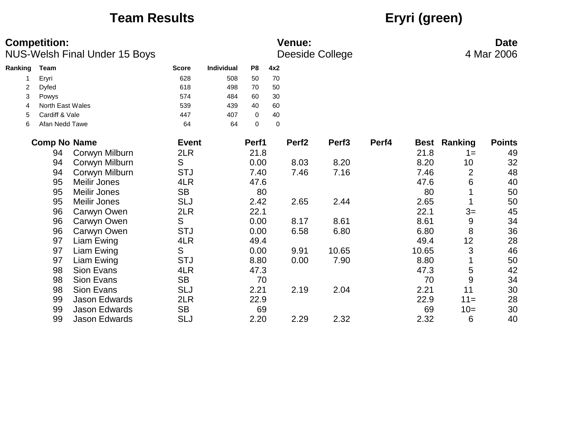# **Team Results Eryri (green)**

|         | <b>Competition:</b> | NUS-Welsh Final Under 15 Boys |              | <b>Venue:</b><br><b>Deeside College</b> |                |             |                   |                   |       |       | <b>Date</b><br>4 Mar 2006 |               |  |
|---------|---------------------|-------------------------------|--------------|-----------------------------------------|----------------|-------------|-------------------|-------------------|-------|-------|---------------------------|---------------|--|
| Ranking | <b>Team</b>         |                               | <b>Score</b> | Individual                              | P <sub>8</sub> | 4x2         |                   |                   |       |       |                           |               |  |
|         | Eryri               |                               | 628          | 508                                     | 50             | 70          |                   |                   |       |       |                           |               |  |
| 2       | <b>Dyfed</b>        |                               | 618          | 498                                     | 70             | 50          |                   |                   |       |       |                           |               |  |
| 3       | Powys               |                               | 574          | 484                                     | 60             | 30          |                   |                   |       |       |                           |               |  |
| 4       | North East Wales    |                               | 539          | 439                                     | 40             | 60          |                   |                   |       |       |                           |               |  |
| 5       | Cardiff & Vale      |                               | 447          | 407                                     | $\mathbf 0$    | 40          |                   |                   |       |       |                           |               |  |
| 6       | Afan Nedd Tawe      |                               | 64           | 64                                      | $\mathbf 0$    | $\mathbf 0$ |                   |                   |       |       |                           |               |  |
|         | <b>Comp No Name</b> |                               | <b>Event</b> |                                         | Perf1          |             | Perf <sub>2</sub> | Perf <sub>3</sub> | Perf4 |       | <b>Best Ranking</b>       | <b>Points</b> |  |
|         | 94                  | Corwyn Milburn                | 2LR          |                                         | 21.8           |             |                   |                   |       | 21.8  | $1 =$                     | 49            |  |
|         | 94                  | Corwyn Milburn                | S            |                                         | 0.00           |             | 8.03              | 8.20              |       | 8.20  | 10                        | 32            |  |
|         | 94                  | Corwyn Milburn                | <b>STJ</b>   |                                         | 7.40           |             | 7.46              | 7.16              |       | 7.46  | $\overline{2}$            | 48            |  |
|         | 95                  | <b>Meilir Jones</b>           | 4LR          |                                         | 47.6           |             |                   |                   |       | 47.6  | 6                         | 40            |  |
|         | 95                  | <b>Meilir Jones</b>           | <b>SB</b>    |                                         | 80             |             |                   |                   |       | 80    |                           | 50            |  |
|         | 95                  | <b>Meilir Jones</b>           | <b>SLJ</b>   |                                         | 2.42           |             | 2.65              | 2.44              |       | 2.65  | 1                         | 50            |  |
|         | 96                  | Carwyn Owen                   | 2LR          |                                         | 22.1           |             |                   |                   |       | 22.1  | $3=$                      | 45            |  |
|         | 96                  | Carwyn Owen                   | S            |                                         | 0.00           |             | 8.17              | 8.61              |       | 8.61  | 9                         | 34            |  |
|         | 96                  | Carwyn Owen                   | <b>STJ</b>   |                                         | 0.00           |             | 6.58              | 6.80              |       | 6.80  | 8                         | 36            |  |
|         | 97                  | Liam Ewing                    | 4LR          |                                         | 49.4           |             |                   |                   |       | 49.4  | 12                        | 28            |  |
|         | 97                  | Liam Ewing                    | S            |                                         | 0.00           |             | 9.91              | 10.65             |       | 10.65 | 3                         | 46            |  |
|         | 97                  | Liam Ewing                    | <b>STJ</b>   |                                         | 8.80           |             | 0.00              | 7.90              |       | 8.80  | 1                         | 50            |  |
|         | 98                  | Sion Evans                    | 4LR          |                                         | 47.3           |             |                   |                   |       | 47.3  | 5                         | 42            |  |
|         | 98                  | Sion Evans                    | <b>SB</b>    |                                         | 70             |             |                   |                   |       | 70    | 9                         | 34            |  |
|         | 98                  | Sion Evans                    | <b>SLJ</b>   |                                         | 2.21           |             | 2.19              | 2.04              |       | 2.21  | 11                        | 30            |  |
|         | 99                  | <b>Jason Edwards</b>          | 2LR          |                                         | 22.9           |             |                   |                   |       | 22.9  | $11 =$                    | 28            |  |
|         | 99                  | <b>Jason Edwards</b>          | <b>SB</b>    |                                         | 69             |             |                   |                   |       | 69    | $10=$                     | 30            |  |
|         | 99                  | <b>Jason Edwards</b>          | <b>SLJ</b>   |                                         | 2.20           |             | 2.29              | 2.32              |       | 2.32  | 6                         | 40            |  |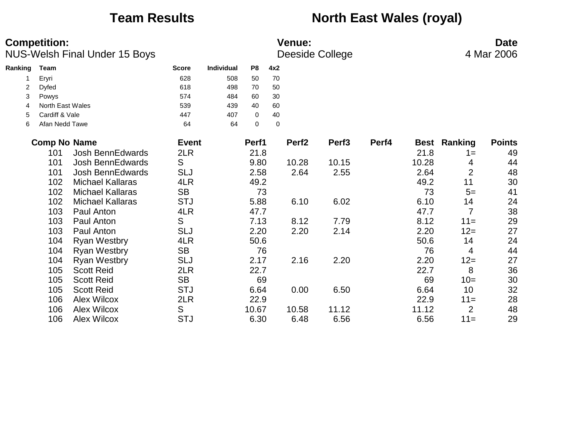## **Team Results North East Wales (royal)**

|         | <b>Competition:</b> | NUS-Welsh Final Under 15 Boys |              |                   |                |             | <b>Venue:</b>     | Deeside College   |       |       |                     | <b>Date</b><br>4 Mar 2006 |
|---------|---------------------|-------------------------------|--------------|-------------------|----------------|-------------|-------------------|-------------------|-------|-------|---------------------|---------------------------|
| Ranking | Team                |                               | <b>Score</b> | <b>Individual</b> | P <sub>8</sub> | 4x2         |                   |                   |       |       |                     |                           |
|         | Eryri               |                               | 628          | 508               | 50             | 70          |                   |                   |       |       |                     |                           |
| 2       | Dyfed               |                               | 618          | 498               | 70             | 50          |                   |                   |       |       |                     |                           |
| 3       | Powys               |                               | 574          | 484               | 60             | 30          |                   |                   |       |       |                     |                           |
| 4       | North East Wales    |                               | 539          | 439               | 40             | 60          |                   |                   |       |       |                     |                           |
| 5       | Cardiff & Vale      |                               | 447          | 407               | 0              | 40          |                   |                   |       |       |                     |                           |
| 6       | Afan Nedd Tawe      |                               | 64           | 64                | $\mathbf 0$    | $\mathbf 0$ |                   |                   |       |       |                     |                           |
|         | <b>Comp No Name</b> |                               | <b>Event</b> |                   | Perf1          |             | Perf <sub>2</sub> | Perf <sub>3</sub> | Perf4 |       | <b>Best Ranking</b> | <b>Points</b>             |
|         | 101                 | <b>Josh BennEdwards</b>       | 2LR          |                   | 21.8           |             |                   |                   |       | 21.8  | $1 =$               | 49                        |
|         | 101                 | <b>Josh BennEdwards</b>       | S            |                   | 9.80           |             | 10.28             | 10.15             |       | 10.28 | 4                   | 44                        |
|         | 101                 | <b>Josh BennEdwards</b>       | SLJ          |                   | 2.58           |             | 2.64              | 2.55              |       | 2.64  | $\overline{2}$      | 48                        |
|         | 102                 | <b>Michael Kallaras</b>       | 4LR          |                   | 49.2           |             |                   |                   |       | 49.2  | 11                  | 30                        |
|         | 102                 | <b>Michael Kallaras</b>       | <b>SB</b>    |                   | 73             |             |                   |                   |       | 73    | $5=$                | 41                        |
|         | 102                 | <b>Michael Kallaras</b>       | <b>STJ</b>   |                   | 5.88           |             | 6.10              | 6.02              |       | 6.10  | 14                  | 24                        |
|         | 103                 | Paul Anton                    | 4LR          |                   | 47.7           |             |                   |                   |       | 47.7  | $\overline{7}$      | 38                        |
|         | 103                 | Paul Anton                    | S            |                   | 7.13           |             | 8.12              | 7.79              |       | 8.12  | $11 =$              | 29                        |
|         | 103                 | Paul Anton                    | <b>SLJ</b>   |                   | 2.20           |             | 2.20              | 2.14              |       | 2.20  | $12 =$              | 27                        |
|         | 104                 | <b>Ryan Westbry</b>           | 4LR          |                   | 50.6           |             |                   |                   |       | 50.6  | 14                  | 24                        |
|         | 104                 | <b>Ryan Westbry</b>           | <b>SB</b>    |                   | 76             |             |                   |                   |       | 76    | 4                   | 44                        |
|         | 104                 | <b>Ryan Westbry</b>           | <b>SLJ</b>   |                   | 2.17           |             | 2.16              | 2.20              |       | 2.20  | $12 =$              | 27                        |
|         | 105                 | <b>Scott Reid</b>             | 2LR          |                   | 22.7           |             |                   |                   |       | 22.7  | 8                   | 36                        |
|         | 105                 | <b>Scott Reid</b>             | <b>SB</b>    |                   | 69             |             |                   |                   |       | 69    | $10=$               | 30                        |
|         | 105                 | <b>Scott Reid</b>             | <b>STJ</b>   |                   | 6.64           |             | 0.00              | 6.50              |       | 6.64  | 10                  | 32                        |
|         | 106                 | Alex Wilcox                   | 2LR          |                   | 22.9           |             |                   |                   |       | 22.9  | $11 =$              | 28                        |
|         | 106                 | <b>Alex Wilcox</b>            | S            |                   | 10.67          |             | 10.58             | 11.12             |       | 11.12 | $\overline{2}$      | 48                        |
|         | 106                 | <b>Alex Wilcox</b>            | <b>STJ</b>   |                   | 6.30           |             | 6.48              | 6.56              |       | 6.56  | $11 =$              | 29                        |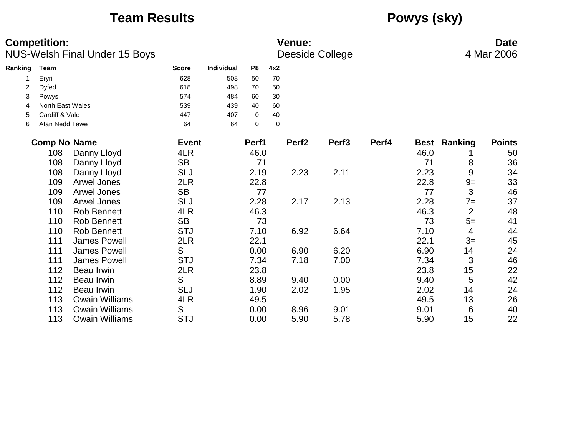## **Team Results Powys (sky)**

|         | <b>Competition:</b> | <b>NUS-Welsh Final Under 15 Boys</b> |              |            |                |           | <b>Venue:</b>     | <b>Deeside College</b> |       |      |                     | <b>Date</b><br>4 Mar 2006 |
|---------|---------------------|--------------------------------------|--------------|------------|----------------|-----------|-------------------|------------------------|-------|------|---------------------|---------------------------|
| Ranking | <b>Team</b>         |                                      | <b>Score</b> | Individual | P <sub>8</sub> | 4x2       |                   |                        |       |      |                     |                           |
|         | Eryri               |                                      | 628          | 508        | 50             | 70        |                   |                        |       |      |                     |                           |
| 2       | <b>Dyfed</b>        |                                      | 618          | 498        | 70             | 50        |                   |                        |       |      |                     |                           |
| 3       | Powys               |                                      | 574          | 484        | 60             | 30        |                   |                        |       |      |                     |                           |
| 4       | North East Wales    |                                      | 539          | 439        | 40             | 60        |                   |                        |       |      |                     |                           |
| 5       | Cardiff & Vale      |                                      | 447          | 407        | $\mathbf 0$    | 40        |                   |                        |       |      |                     |                           |
| 6       | Afan Nedd Tawe      |                                      | 64           | 64         | $\pmb{0}$      | $\pmb{0}$ |                   |                        |       |      |                     |                           |
|         | <b>Comp No Name</b> |                                      | <b>Event</b> |            | Perf1          |           | Perf <sub>2</sub> | Perf <sub>3</sub>      | Perf4 |      | <b>Best Ranking</b> | <b>Points</b>             |
|         | 108                 | Danny Lloyd                          | 4LR          |            | 46.0           |           |                   |                        |       | 46.0 |                     | 50                        |
|         | 108                 | Danny Lloyd                          | <b>SB</b>    |            | 71             |           |                   |                        |       | 71   | 8                   | 36                        |
|         | 108                 | Danny Lloyd                          | <b>SLJ</b>   |            | 2.19           |           | 2.23              | 2.11                   |       | 2.23 | $\boldsymbol{9}$    | 34                        |
|         | 109                 | Arwel Jones                          | 2LR          |            | 22.8           |           |                   |                        |       | 22.8 | $9=$                | 33                        |
|         | 109                 | <b>Arwel Jones</b>                   | <b>SB</b>    |            | 77             |           |                   |                        |       | 77   | 3                   | 46                        |
|         | 109                 | <b>Arwel Jones</b>                   | <b>SLJ</b>   |            | 2.28           |           | 2.17              | 2.13                   |       | 2.28 | $7 =$               | 37                        |
|         | 110                 | <b>Rob Bennett</b>                   | 4LR          |            | 46.3           |           |                   |                        |       | 46.3 | $\overline{2}$      | 48                        |
|         | 110                 | <b>Rob Bennett</b>                   | <b>SB</b>    |            | 73             |           |                   |                        |       | 73   | $5=$                | 41                        |
|         | 110                 | <b>Rob Bennett</b>                   | <b>STJ</b>   |            | 7.10           |           | 6.92              | 6.64                   |       | 7.10 | 4                   | 44                        |
|         | 111                 | <b>James Powell</b>                  | 2LR          |            | 22.1           |           |                   |                        |       | 22.1 | $3=$                | 45                        |
|         | 111                 | <b>James Powell</b>                  | S            |            | 0.00           |           | 6.90              | 6.20                   |       | 6.90 | 14                  | 24                        |
|         | 111                 | <b>James Powell</b>                  | <b>STJ</b>   |            | 7.34           |           | 7.18              | 7.00                   |       | 7.34 | 3                   | 46                        |
|         | 112                 | <b>Beau Irwin</b>                    | 2LR          |            | 23.8           |           |                   |                        |       | 23.8 | 15                  | 22                        |
|         | 112                 | <b>Beau Irwin</b>                    | S            |            | 8.89           |           | 9.40              | 0.00                   |       | 9.40 | 5                   | 42                        |
|         | 112                 | <b>Beau Irwin</b>                    | <b>SLJ</b>   |            | 1.90           |           | 2.02              | 1.95                   |       | 2.02 | 14                  | 24                        |
|         | 113                 | <b>Owain Williams</b>                | 4LR          |            | 49.5           |           |                   |                        |       | 49.5 | 13                  | 26                        |
|         | 113                 | <b>Owain Williams</b>                | S            |            | 0.00           |           | 8.96              | 9.01                   |       | 9.01 | 6                   | 40                        |
|         | 113                 | <b>Owain Williams</b>                | <b>STJ</b>   |            | 0.00           |           | 5.90              | 5.78                   |       | 5.90 | 15                  | 22                        |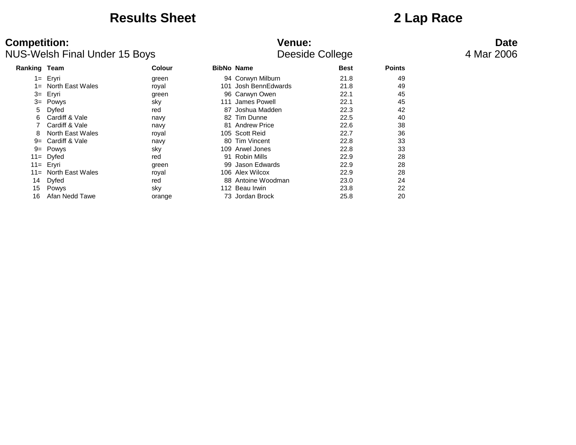### **Results Sheet 2 Lap Race**

| <b>Ranking Team</b> |                      | Colour |      | <b>BibNo Name</b>    | <b>Best</b> | <b>Points</b> |
|---------------------|----------------------|--------|------|----------------------|-------------|---------------|
|                     | 1= Eryri             | green  |      | 94 Corwyn Milburn    | 21.8        | 49            |
| $1 =$               | North East Wales     | royal  |      | 101 Josh BennEdwards | 21.8        | 49            |
|                     | 3= Eryri             | green  |      | 96 Carwyn Owen       | 22.1        | 45            |
|                     | $3 =$ Powys          | sky    | 111  | James Powell         | 22.1        | 45            |
| 5                   | Dyfed                | red    |      | 87 Joshua Madden     | 22.3        | 42            |
| 6                   | Cardiff & Vale       | navy   |      | 82 Tim Dunne         | 22.5        | 40            |
|                     | Cardiff & Vale       | navy   |      | 81 Andrew Price      | 22.6        | 38            |
| 8                   | North East Wales     | royal  |      | 105 Scott Reid       | 22.7        | 36            |
| $9=$                | Cardiff & Vale       | navy   |      | 80 Tim Vincent       | 22.8        | 33            |
|                     | $9 = Power$          | sky    | 109. | Arwel Jones          | 22.8        | 33            |
|                     | $11 = Dyfed$         | red    | 91.  | Robin Mills          | 22.9        | 28            |
|                     | 11 Eryri             | green  |      | 99 Jason Edwards     | 22.9        | 28            |
|                     | 11= North East Wales | royal  |      | 106 Alex Wilcox      | 22.9        | 28            |
| 14                  | Dyfed                | red    |      | 88 Antoine Woodman   | 23.0        | 24            |
| 15                  | Powys                | sky    |      | 112 Beau Irwin       | 23.8        | 22            |
| 16                  | Afan Nedd Tawe       | orange |      | 73 Jordan Brock      | 25.8        | 20            |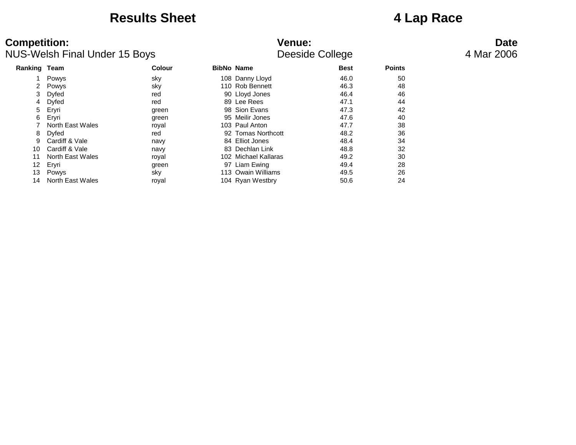### **Results Sheet 4 Lap Race**

| <b>Ranking Team</b> |                  | Colour | <b>BibNo Name</b> |                      | <b>Best</b> | <b>Points</b> |
|---------------------|------------------|--------|-------------------|----------------------|-------------|---------------|
|                     | Powys            | sky    |                   | 108 Danny Lloyd      | 46.0        | 50            |
| $\mathbf{2}$        | Powys            | sky    |                   | 110 Rob Bennett      | 46.3        | 48            |
| 3                   | Dyfed            | red    |                   | 90 Lloyd Jones       | 46.4        | 46            |
| 4                   | <b>Dyfed</b>     | red    |                   | 89 Lee Rees          | 47.1        | 44            |
| 5                   | Eryri            | green  |                   | 98 Sion Evans        | 47.3        | 42            |
| 6                   | Eryri            | green  |                   | 95 Meilir Jones      | 47.6        | 40            |
|                     | North East Wales | royal  |                   | 103 Paul Anton       | 47.7        | 38            |
| 8                   | Dyfed            | red    |                   | 92 Tomas Northcott   | 48.2        | 36            |
| 9                   | Cardiff & Vale   | navy   |                   | 84 Elliot Jones      | 48.4        | 34            |
| 10                  | Cardiff & Vale   | navy   |                   | 83 Dechlan Link      | 48.8        | 32            |
| 11                  | North East Wales | royal  |                   | 102 Michael Kallaras | 49.2        | 30            |
| 12                  | Eryri            | green  | 97                | Liam Ewing           | 49.4        | 28            |
| 13                  | Powys            | sky    |                   | 113 Owain Williams   | 49.5        | 26            |
| 14                  | North East Wales | royal  |                   | 104 Ryan Westbry     | 50.6        | 24            |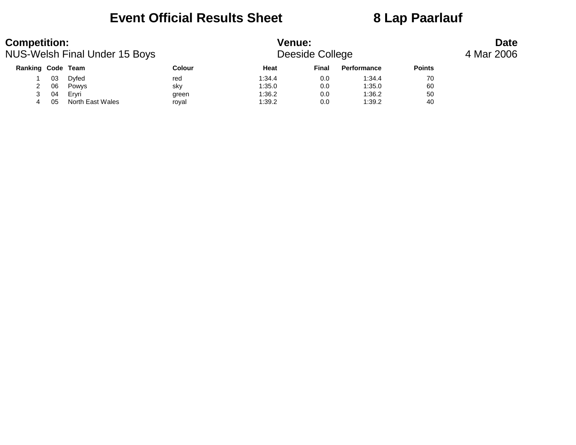### **Event Official Results Sheet 8 Lap Paarlauf**

| <b>Competition:</b><br>NUS-Welsh Final Under 15 Boys |    |                  |        | <b>Venue:</b><br>Deeside College |       | <b>Date</b><br>4 Mar 2006 |               |  |
|------------------------------------------------------|----|------------------|--------|----------------------------------|-------|---------------------------|---------------|--|
| <b>Ranking Code Team</b>                             |    |                  | Colour | Heat                             | Final | Performance               | <b>Points</b> |  |
|                                                      | 03 | Dvfed            | red    | 1:34.4                           | 0.0   | 1:34.4                    | 70            |  |
|                                                      | 06 | Powys            | sky    | 1:35.0                           | 0.0   | 1:35.0                    | 60            |  |
|                                                      | 04 | Ervri            | green  | 1:36.2                           | 0.0   | 1:36.2                    | 50            |  |
| 4                                                    | 05 | North East Wales | roval  | 1:39.2                           | 0.0   | 1:39.2                    | 40            |  |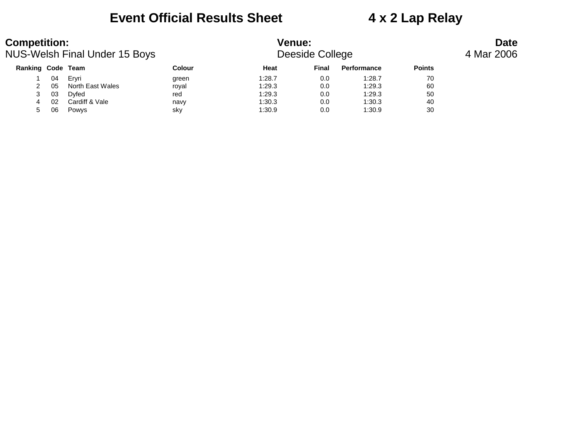### **Event Official Results Sheet 4 x 2 Lap Relay**

| <b>Competition:</b><br><b>NUS-Welsh Final Under 15 Boys</b> |    |                  |        | <b>Venue:</b><br>Deeside College |       | <b>Date</b><br>4 Mar 2006 |               |  |
|-------------------------------------------------------------|----|------------------|--------|----------------------------------|-------|---------------------------|---------------|--|
| Ranking Code Team                                           |    |                  | Colour | Heat                             | Final | Performance               | <b>Points</b> |  |
|                                                             | 04 | Ervri            | green  | 1:28.7                           | 0.0   | 1:28.7                    | 70            |  |
|                                                             | 05 | North East Wales | royal  | 1:29.3                           | 0.0   | 1:29.3                    | 60            |  |
|                                                             | 03 | <b>D</b> vfed    | red    | 1:29.3                           | 0.0   | 1:29.3                    | 50            |  |
|                                                             | 02 | Cardiff & Vale   | navy   | 1:30.3                           | 0.0   | 1:30.3                    | 40            |  |
| 5.                                                          | 06 | Powys            | sky    | 1:30.9                           | 0.0   | 1:30.9                    | 30            |  |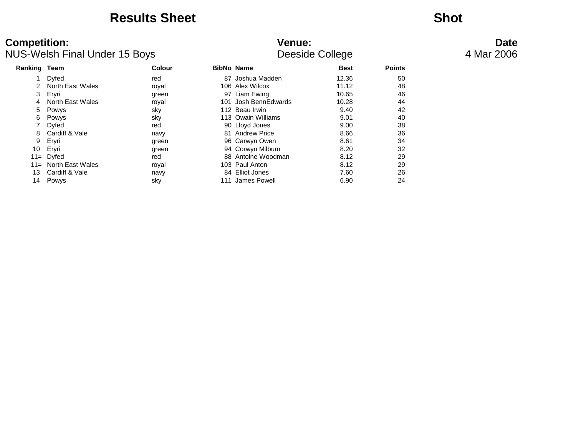### **Results Sheet Shot**

| <b>Ranking Team</b> |                  | Colour | <b>BibNo Name</b>    | <b>Best</b> | <b>Points</b> |
|---------------------|------------------|--------|----------------------|-------------|---------------|
|                     | Dyfed            | red    | 87 Joshua Madden     | 12.36       | 50            |
|                     | North East Wales | royal  | 106 Alex Wilcox      | 11.12       | 48            |
| 3                   | Ervri            | green  | 97 Liam Ewing        | 10.65       | 46            |
|                     | North East Wales | royal  | 101 Josh BennEdwards | 10.28       | 44            |
| 5                   | Powys            | sky    | 112 Beau Irwin       | 9.40        | 42            |
| 6                   | Powys            | sky    | 113 Owain Williams   | 9.01        | 40            |
|                     | Dyfed            | red    | 90 Lloyd Jones       | 9.00        | 38            |
| 8                   | Cardiff & Vale   | navy   | 81 Andrew Price      | 8.66        | 36            |
| 9                   | Eryri            | green  | 96 Carwyn Owen       | 8.61        | 34            |
| 10                  | Eryri            | green  | 94 Corwyn Milburn    | 8.20        | 32            |
|                     | $11 = Dyfed$     | red    | 88 Antoine Woodman   | 8.12        | 29            |
| $11 =$              | North East Wales | roval  | 103 Paul Anton       | 8.12        | 29            |
| 13                  | Cardiff & Vale   | navy   | 84 Elliot Jones      | 7.60        | 26            |
| 14                  | Powys            | sky    | 111 James Powell     | 6.90        | 24            |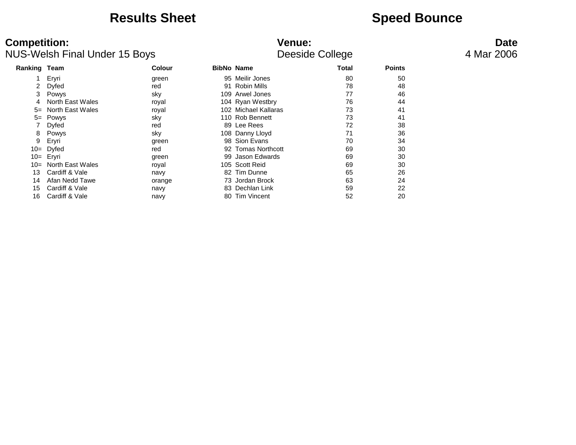### **Results Sheet Speed Bounce**

# **Competition: Venue: Date**

| <b>NUS-Welsh Final Under 15 Boys</b> |                  |               | Deeside College      | 4 Mar 2006 |               |  |
|--------------------------------------|------------------|---------------|----------------------|------------|---------------|--|
| <b>Ranking Team</b>                  |                  | <b>Colour</b> | <b>BibNo Name</b>    | Total      | <b>Points</b> |  |
|                                      | Eryri            | green         | 95 Meilir Jones      | 80         | 50            |  |
|                                      | Dyfed            | red           | 91 Robin Mills       | 78         | 48            |  |
| 3                                    | Powys            | sky           | 109 Arwel Jones      | 77         | 46            |  |
| 4                                    | North East Wales | royal         | 104 Ryan Westbry     | 76         | 44            |  |
| $5=$                                 | North East Wales | royal         | 102 Michael Kallaras | 73         | 41            |  |
| $5=$                                 | Powys            | sky           | 110 Rob Bennett      | 73         | 41            |  |
|                                      | Dyfed            | red           | 89 Lee Rees          | 72         | 38            |  |
| 8                                    | Powys            | sky           | 108 Danny Lloyd      | 71         | 36            |  |
| 9                                    | Eryri            | green         | 98 Sion Evans        | 70         | 34            |  |
| $10=$                                | Dyfed            | red           | 92 Tomas Northcott   | 69         | 30            |  |
| $10=$                                | Eryri            | green         | 99 Jason Edwards     | 69         | 30            |  |
| $10 =$                               | North East Wales | royal         | 105 Scott Reid       | 69         | 30            |  |
| 13                                   | Cardiff & Vale   | navy          | 82 Tim Dunne         | 65         | 26            |  |
| 14                                   | Afan Nedd Tawe   | orange        | 73 Jordan Brock      | 63         | 24            |  |
| 15                                   | Cardiff & Vale   | navy          | 83 Dechlan Link      | 59         | 22            |  |
| 16                                   | Cardiff & Vale   | navy          | 80 Tim Vincent       | 52         | 20            |  |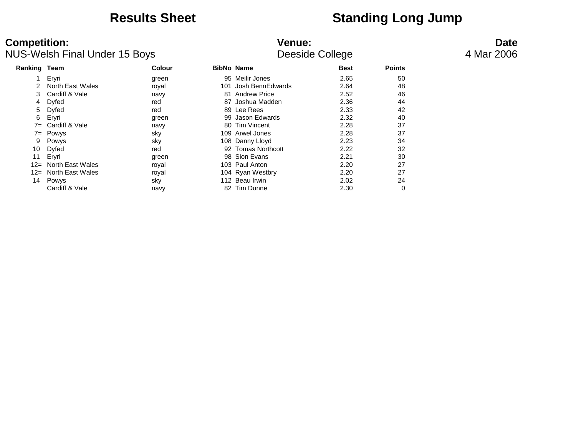### **Results Sheet Standing Long Jump**

| Ranking | Team                  | <b>Colour</b> |     | <b>BibNo Name</b>   | <b>Best</b> | <b>Points</b> |
|---------|-----------------------|---------------|-----|---------------------|-------------|---------------|
|         | Eryri                 | green         |     | 95 Meilir Jones     | 2.65        | 50            |
|         | North East Wales      | royal         | 101 | Josh BennEdwards    | 2.64        | 48            |
| 3       | Cardiff & Vale        | navy          | 81  | <b>Andrew Price</b> | 2.52        | 46            |
| 4       | Dyfed                 | red           | 87  | Joshua Madden       | 2.36        | 44            |
| 5.      | Dyfed                 | red           |     | 89 Lee Rees         | 2.33        | 42            |
| 6       | Eryri                 | green         |     | 99 Jason Edwards    | 2.32        | 40            |
| 7=      | Cardiff & Vale        | navy          |     | 80 Tim Vincent      | 2.28        | 37            |
|         | 7= Powys              | sky           |     | 109 Arwel Jones     | 2.28        | 37            |
| 9       | Powys                 | sky           |     | 108 Danny Lloyd     | 2.23        | 34            |
| 10      | Dyfed                 | red           |     | 92 Tomas Northcott  | 2.22        | 32            |
| 11      | Eryri                 | green         |     | 98 Sion Evans       | 2.21        | 30            |
|         | 12= North East Wales  | royal         |     | 103 Paul Anton      | 2.20        | 27            |
|         | 12 = North East Wales | royal         |     | 104 Ryan Westbry    | 2.20        | 27            |
| 14      | Powys                 | sky           |     | 112 Beau Irwin      | 2.02        | 24            |
|         | Cardiff & Vale        | navy          |     | 82 Tim Dunne        | 2.30        | 0             |